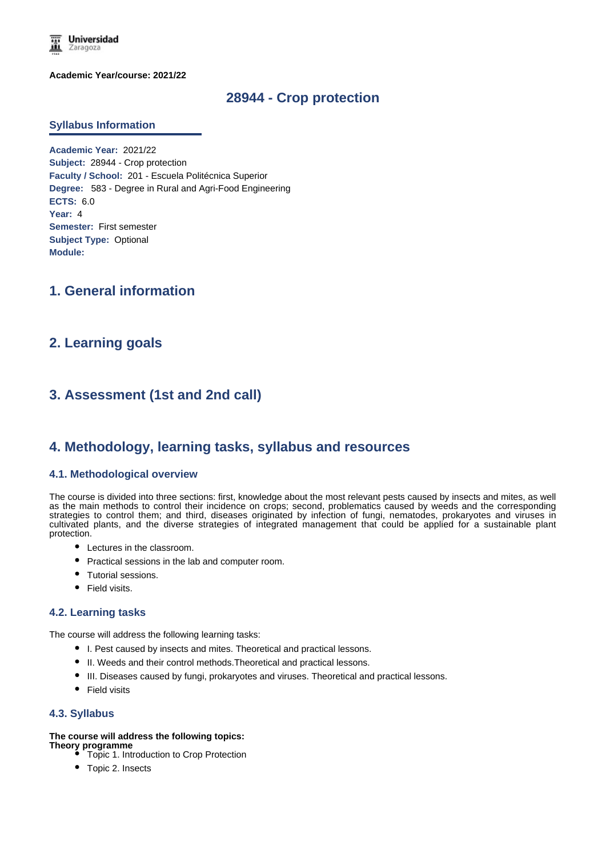

**Academic Year/course: 2021/22**

# **28944 - Crop protection**

#### **Syllabus Information**

**Academic Year:** 2021/22 **Subject:** 28944 - Crop protection **Faculty / School:** 201 - Escuela Politécnica Superior **Degree:** 583 - Degree in Rural and Agri-Food Engineering **ECTS:** 6.0 **Year:** 4 **Semester:** First semester **Subject Type:** Optional **Module:**

# **1. General information**

## **2. Learning goals**

# **3. Assessment (1st and 2nd call)**

## **4. Methodology, learning tasks, syllabus and resources**

#### **4.1. Methodological overview**

The course is divided into three sections: first, knowledge about the most relevant pests caused by insects and mites, as well as the main methods to control their incidence on crops; second, problematics caused by weeds and the corresponding strategies to control them; and third, diseases originated by infection of fungi, nematodes, prokaryotes and viruses in cultivated plants, and the diverse strategies of integrated management that could be applied for a sustainable plant protection.

- Lectures in the classroom.
- Practical sessions in the lab and computer room.
- Tutorial sessions.
- Field visits.

#### **4.2. Learning tasks**

The course will address the following learning tasks:

- I. Pest caused by insects and mites. Theoretical and practical lessons.
- $\bullet$  II. Weeds and their control methods. Theoretical and practical lessons.
- III. Diseases caused by fungi, prokaryotes and viruses. Theoretical and practical lessons.
- Field visits

#### **4.3. Syllabus**

#### **The course will address the following topics:**

- **Theory programme** Topic 1. Introduction to Crop Protection
	- Topic 2. Insects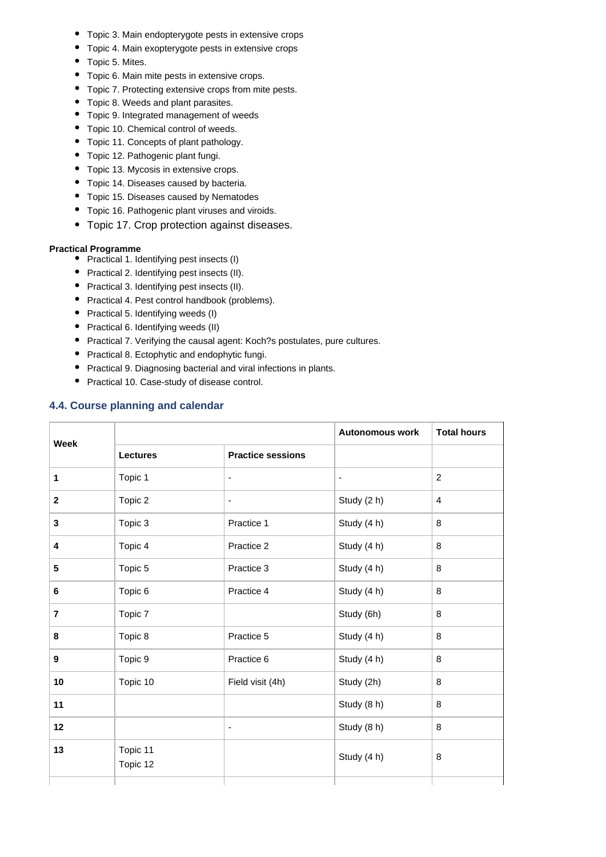- Topic 3. Main endopterygote pests in extensive crops
- Topic 4. Main exopterygote pests in extensive crops
- Topic 5. Mites.
- Topic 6. Main mite pests in extensive crops.
- Topic 7. Protecting extensive crops from mite pests.
- Topic 8. Weeds and plant parasites.
- Topic 9. Integrated management of weeds
- Topic 10. Chemical control of weeds.
- Topic 11. Concepts of plant pathology.
- Topic 12. Pathogenic plant fungi.
- Topic 13. Mycosis in extensive crops.
- Topic 14. Diseases caused by bacteria.
- Topic 15. Diseases caused by Nematodes
- Topic 16. Pathogenic plant viruses and viroids.
- Topic 17. Crop protection against diseases.

#### **Practical Programme**

- Practical 1. Identifying pest insects (I)
- Practical 2. Identifying pest insects (II).
- Practical 3. Identifying pest insects (II).
- Practical 4. Pest control handbook (problems).
- Practical 5. Identifying weeds (I)
- Practical 6. Identifying weeds (II)
- Practical 7. Verifying the causal agent: Koch?s postulates, pure cultures.
- Practical 8. Ectophytic and endophytic fungi.
- Practical 9. Diagnosing bacterial and viral infections in plants.
- Practical 10. Case-study of disease control.

### **4.4. Course planning and calendar**

| <b>Week</b>    |                      |                          | <b>Autonomous work</b>   | <b>Total hours</b> |
|----------------|----------------------|--------------------------|--------------------------|--------------------|
|                | <b>Lectures</b>      | <b>Practice sessions</b> |                          |                    |
| 1              | Topic 1              | $\blacksquare$           | $\overline{\phantom{a}}$ | $\overline{c}$     |
| $\mathbf{2}$   | Topic 2              | $\overline{\phantom{a}}$ | Study (2 h)              | $\overline{4}$     |
| $\mathbf{3}$   | Topic 3              | Practice 1               | Study (4 h)              | 8                  |
| 4              | Topic 4              | Practice 2               | Study (4 h)              | 8                  |
| 5              | Topic 5              | Practice 3               | Study (4 h)              | 8                  |
| 6              | Topic 6              | Practice 4               | Study (4 h)              | 8                  |
| $\overline{7}$ | Topic 7              |                          | Study (6h)               | 8                  |
| 8              | Topic 8              | Practice 5               | Study (4 h)              | 8                  |
| 9              | Topic 9              | Practice 6               | Study (4 h)              | 8                  |
| 10             | Topic 10             | Field visit (4h)         | Study (2h)               | 8                  |
| 11             |                      |                          | Study (8 h)              | 8                  |
| 12             |                      | $\overline{\phantom{a}}$ | Study (8 h)              | 8                  |
| 13             | Topic 11<br>Topic 12 |                          | Study (4 h)              | 8                  |
|                |                      |                          |                          |                    |